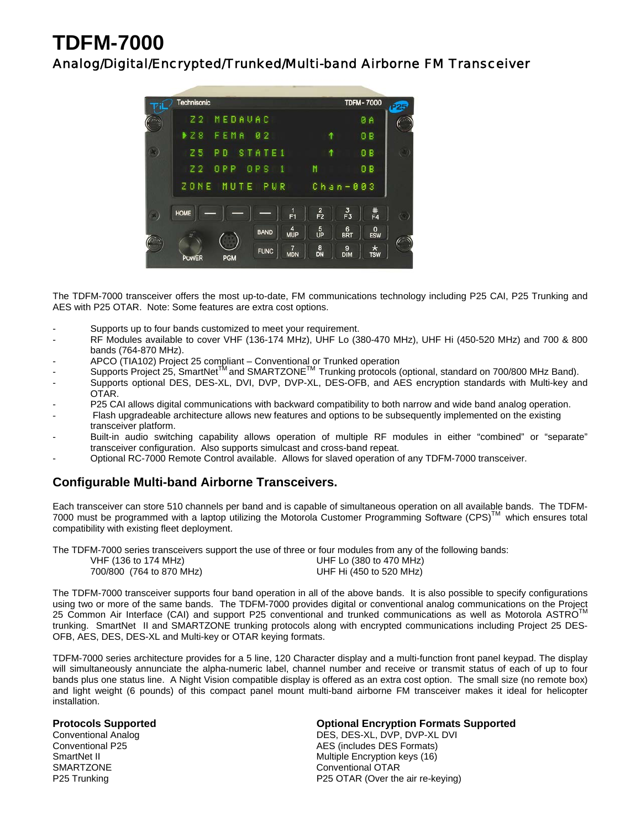# **TDFM-7000**

### Analog/Digital/Encrypted/Trunked/Multi-band Airborne FM Transceiver



The TDFM-7000 transceiver offers the most up-to-date, FM communications technology including P25 CAI, P25 Trunking and AES with P25 OTAR. Note: Some features are extra cost options.

- Supports up to four bands customized to meet your requirement.
- RF Modules available to cover VHF (136-174 MHz), UHF Lo (380-470 MHz), UHF Hi (450-520 MHz) and 700 & 800 bands (764-870 MHz).
- APCO (TIA102) Project 25 compliant Conventional or Trunked operation
- Supports Project 25, SmartNet<sup>TM</sup> and SMARTZONE<sup>TM</sup> Trunking protocols (optional, standard on 700/800 MHz Band).
- Supports optional DES, DES-XL, DVI, DVP, DVP-XL, DES-OFB, and AES encryption standards with Multi-key and OTAR.
- P25 CAI allows digital communications with backward compatibility to both narrow and wide band analog operation.
- Flash upgradeable architecture allows new features and options to be subsequently implemented on the existing transceiver platform.
- Built-in audio switching capability allows operation of multiple RF modules in either "combined" or "separate" transceiver configuration. Also supports simulcast and cross-band repeat.
- Optional RC-7000 Remote Control available. Allows for slaved operation of any TDFM-7000 transceiver.

#### **Configurable Multi-band Airborne Transceivers.**

Each transceiver can store 510 channels per band and is capable of simultaneous operation on all available bands. The TDFM-7000 must be programmed with a laptop utilizing the Motorola Customer Programming Software (CPS)™ which ensures total compatibility with existing fleet deployment.

The TDFM-7000 series transceivers support the use of three or four modules from any of the following bands: VHF (136 to 174 MHz) UHF Lo (380 to 470 MHz) 700/800 (764 to 870 MHz) UHF Hi (450 to 520 MHz)

The TDFM-7000 transceiver supports four band operation in all of the above bands. It is also possible to specify configurations using two or more of the same bands. The TDFM-7000 provides digital or conventional analog communications on the Project 25 Common Air Interface (CAI) and support P25 conventional and trunked communications as well as Motorola ASTRO<sup>™</sup> trunking. SmartNet II and SMARTZONE trunking protocols along with encrypted communications including Project 25 DES-OFB, AES, DES, DES-XL and Multi-key or OTAR keying formats.

TDFM-7000 series architecture provides for a 5 line, 120 Character display and a multi-function front panel keypad. The display will simultaneously annunciate the alpha-numeric label, channel number and receive or transmit status of each of up to four bands plus one status line. A Night Vision compatible display is offered as an extra cost option. The small size (no remote box) and light weight (6 pounds) of this compact panel mount multi-band airborne FM transceiver makes it ideal for helicopter installation.

SMARTZONE CONVERTING CONVERTION CONVENTION CONVENTION CONVENTION CONVENTION CONVERTING CONVERTING CONVERTING CONVERTING CONVERTING CONVERTING CONVERTING CONVERTING CONVERTING CONVERTING CONVERTING CONVERTING CONVERTING CON

## **Protocols Supported Conventional Analog Conventional Analog Conventional Analog Conventional Analog Conventional Analog Conventional Analog Conventional Analog Conventional Analog Conventional Analog Conventional Analog C**

DES, DES-XL, DVP, DVP-XL DVI Conventional P25 **AES** (includes DES Formats) SmartNet II Multiple Encryption keys (16) P25 Trunking P25 OTAR (Over the air re-keying)